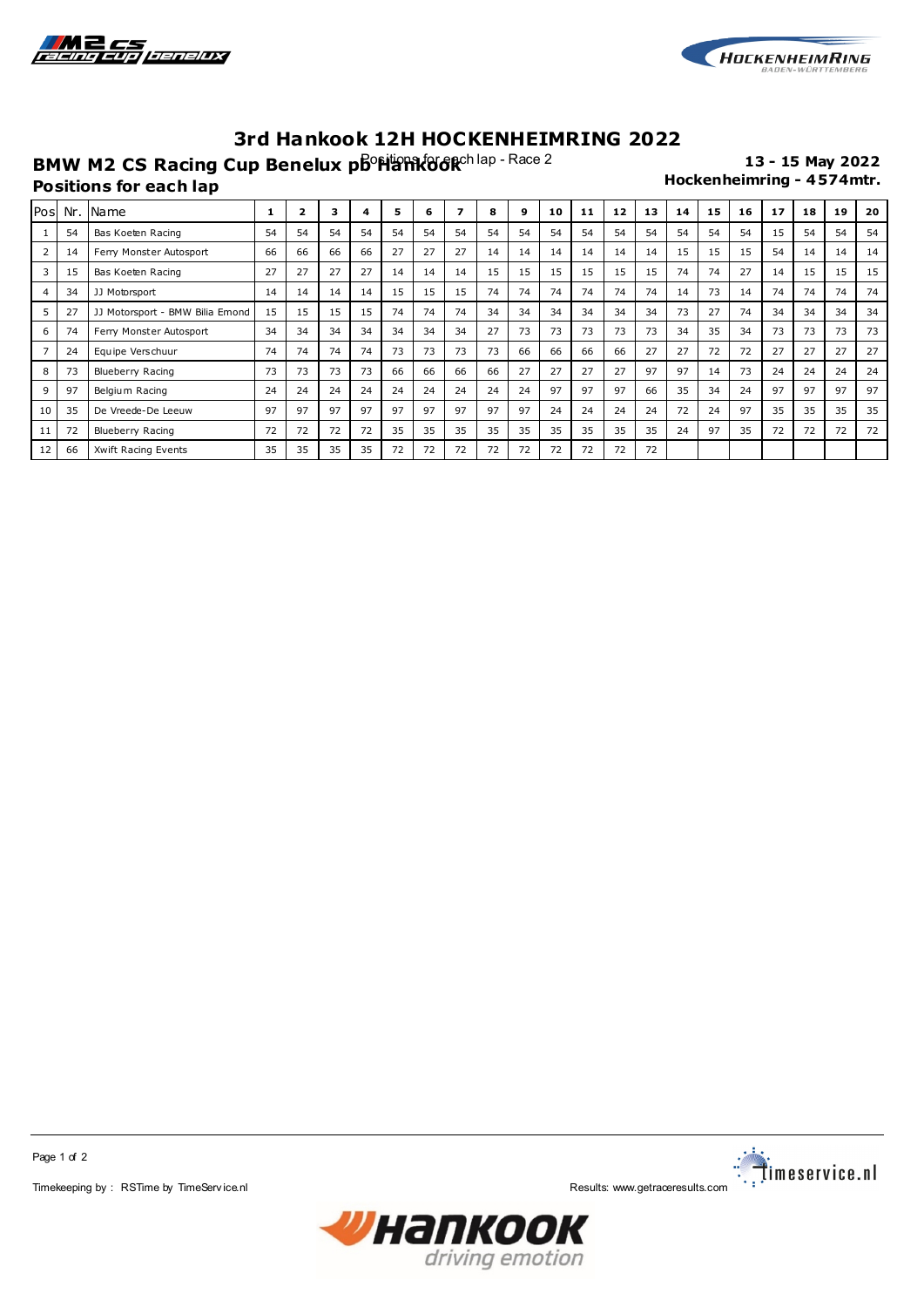



## **3rd Hankook 12H HOCKENHEIMRING 2022**

**BMW M2 CS Racing Cup Benelux phonetic Process** Pace 2 **13 - 15 May 2022**<br>Hockenheimring - 4574mtr. **Positions for each lap** 

| Pos            |    | Nr. Name                        |    | 2  | 3  | 4  | 5  | 6  | 7  | 8  | 9  | 10 | 11 | 12 | 13 | 14 | 15 | 16 | 17 | 18 | 19 | 20 |
|----------------|----|---------------------------------|----|----|----|----|----|----|----|----|----|----|----|----|----|----|----|----|----|----|----|----|
|                | 54 | Bas Koeten Racing               | 54 | 54 | 54 | 54 | 54 | 54 | 54 | 54 | 54 | 54 | 54 | 54 | 54 | 54 | 54 | 54 | 15 | 54 | 54 | 54 |
| 2              | 14 | Ferry Monster Autosport         | 66 | 66 | 66 | 66 | 27 | 27 | 27 | 14 | 14 | 14 | 14 | 14 | 14 | 15 | 15 | 15 | 54 | 14 | 14 | 14 |
| 3              | 15 | Bas Koeten Racing               | 27 | 27 | 27 | 27 | 14 | 14 | 14 | 15 | 15 | 15 | 15 | 15 | 15 | 74 | 74 | 27 | 14 | 15 | 15 | 15 |
| $\overline{4}$ | 34 | JJ Motorsport                   | 14 | 14 | 14 | 14 | 15 | 15 | 15 | 74 | 74 | 74 | 74 | 74 | 74 | 14 | 73 | 14 | 74 | 74 | 74 | 74 |
| 5              | 27 | JJ Motorsport - BMW Bilia Emond | 15 | 15 | 15 | 15 | 74 | 74 | 74 | 34 | 34 | 34 | 34 | 34 | 34 | 73 | 27 | 74 | 34 | 34 | 34 | 34 |
| 6              | 74 | Ferry Monster Autosport         | 34 | 34 | 34 | 34 | 34 | 34 | 34 | 27 | 73 | 73 | 73 | 73 | 73 | 34 | 35 | 34 | 73 | 73 | 73 | 73 |
| $\overline{7}$ | 24 | Equipe Verschuur                | 74 | 74 | 74 | 74 | 73 | 73 | 73 | 73 | 66 | 66 | 66 | 66 | 27 | 27 | 72 | 72 | 27 | 27 | 27 | 27 |
| 8              | 73 | Blueberry Racing                | 73 | 73 | 73 | 73 | 66 | 66 | 66 | 66 | 27 | 27 | 27 | 27 | 97 | 97 | 14 | 73 | 24 | 24 | 24 | 24 |
| 9              | 97 | Belgium Racing                  | 24 | 24 | 24 | 24 | 24 | 24 | 24 | 24 | 24 | 97 | 97 | 97 | 66 | 35 | 34 | 24 | 97 | 97 | 97 | 97 |
| 10             | 35 | De Vreede-De Leeuw              | 97 | 97 | 97 | 97 | 97 | 97 | 97 | 97 | 97 | 24 | 24 | 24 | 24 | 72 | 24 | 97 | 35 | 35 | 35 | 35 |
| 11             | 72 | Blueberry Racing                | 72 | 72 | 72 | 72 | 35 | 35 | 35 | 35 | 35 | 35 | 35 | 35 | 35 | 24 | 97 | 35 | 72 | 72 | 72 | 72 |
| 12             | 66 | Xwift Racing Events             | 35 | 35 | 35 | 35 | 72 | 72 | 72 | 72 | 72 | 72 | 72 | 72 | 72 |    |    |    |    |    |    |    |